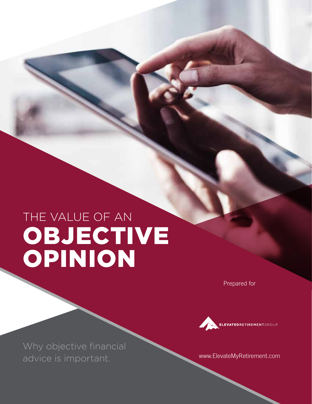# THE VALUE OF AN OBJECTIVE OPINION

Prepared for



Why objective financial advice is important.

www.ElevateMyRetirement.com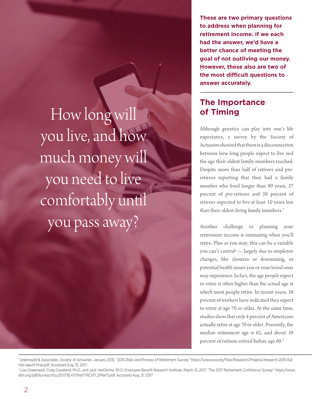**These are two primary questions to address when planning for retirement income. If we each had the answer, we'd have a better chance of meeting the goal of not outliving our money. However, these also are two of the most difficult questions to answer accurately.**

### **The Importance of Timing**

Although genetics can play into one's life expectancy, a survey by the Society of Actuaries showed that there is a disconnection between how long people expect to live and the age their oldest family members reached. Despite more than half of retirees and preretirees reporting that they had a family member who lived longer than 90 years, 37 percent of pre-retirees and 28 percent of retirees expected to live at least 10 years less than their oldest-living family members.<sup>1</sup>

Another challenge to planning your retirement income is estimating when you'll retire. Plan as you may, this can be a variable you can't control — largely due to employer changes, like closures or downsizing, or potential health issues you or your loved ones may experience. In fact, the age people expect to retire is often higher than the actual age at which most people retire. In recent years, 38 percent of workers have indicated they expect to retire at age 70 or older. At the same time, studies show that only 4 percent of Americans actually retire at age 70 or older. Presently, the median retirement age is 62, and about 39 percent of retirees retired before age 60.<sup>2</sup>

How long will you live, and how much money will you need to live comfortably until you pass away?

<sup>1</sup> Greenwald & Associates. Society of Actuaries. January 2016. "2015 Risks and Process of Retirement Survey." https://www.soa.org/Files/Research/Projects/research-2015-fullrisk-report-final.pdf. Accessed Aug. 31, 2017.

<sup>2</sup> Lisa Greenwald, Craig Copeland, Ph.D., and Jack VanDerhei, Ph.D. Employee Benefit Research Institute. March 21, 2017. "The 2017 Retirement Confidence Survey." https://www. ebri.org/pdf/surveys/rcs/2017/IB.431.Mar17.RCS17..21Mar17.pdf. Accessed Aug. 31, 2017.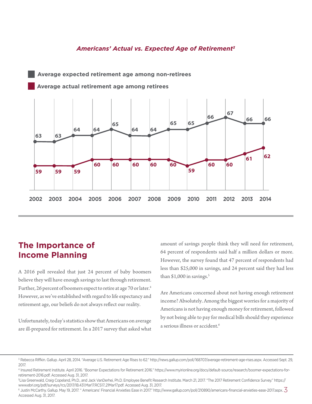#### *Americans' Actual vs. Expected Age of Retirement3*



**Average expected retirement age among non-retirees**

#### **The Importance of Income Planning**

A 2016 poll revealed that just 24 percent of baby boomers believe they will have enough savings to last through retirement. Further, 26 percent of boomers expect to retire at age 70 or later.<sup>4</sup> However, as we've established with regard to life expectancy and retirement age, our beliefs do not always reflect our reality.

Unfortunately, today's statistics show that Americans on average are ill-prepared for retirement. In a 2017 survey that asked what amount of savings people think they will need for retirement, 64 percent of respondents said half a million dollars or more. However, the survey found that 47 percent of respondents had less than \$25,000 in savings, and 24 percent said they had less than  $$1,000$  in savings.<sup>5</sup>

Are Americans concerned about not having enough retirement income? Absolutely. Among the biggest worries for a majority of Americans is not having enough money for retirement, followed by not being able to pay for medical bills should they experience a serious illness or accident.<sup>6</sup>

<sup>&</sup>lt;sup>3</sup> Rebecca Riffkin. Gallup. April 28, 2014. "Average U.S. Retirement Age Rises to 62." http://news.gallup.com/poll/168707/average-retirement-age-rises.aspx. Accessed Sept. 29, 2017.

<sup>4</sup> Insured Retirement Institute. April 2016. "Boomer Expectations for Retirement 2016." https://www.myirionline.org/docs/default-source/research/boomer-expectations-forretirement-2016.pdf. Accessed Aug. 31, 2017.

<sup>5</sup>Lisa Greenwald, Craig Copeland, Ph.D., and Jack VanDerhei, Ph.D. Employee Benefit Research Institute. March 21, 2017. "The 2017 Retirement Confidence Survey." https:// www.ebri.org/pdf/surveys/rcs/2017/IB.431.Mar17.RCS17..21Mar17.pdf. Accessed Aug. 31, 2017.

www.con.org, partey.y.ed, 2017. In althour connent annipalit recessed ragion, 2017.<br><sup>6</sup> Justin McCarthy. Gallup. May 19, 2017. " Americans' Financial Anxieties Ease in 2017." http://www.gallup.com/poll/210890/americans-fin Accessed Aug. 31, 2017.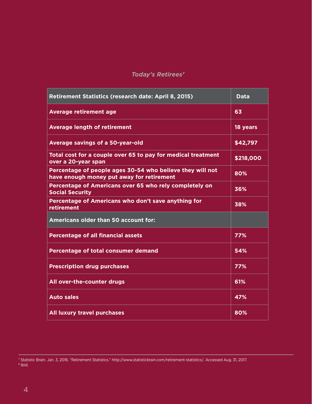#### *Today's Retirees7*

| Retirement Statistics (research date: April 8, 2015)                                                   | <b>Data</b> |
|--------------------------------------------------------------------------------------------------------|-------------|
| <b>Average retirement age</b>                                                                          | 63          |
| <b>Average length of retirement</b>                                                                    | 18 years    |
| Average savings of a 50-year-old                                                                       | \$42,797    |
| Total cost for a couple over 65 to pay for medical treatment<br>over a 20-year span                    | \$218,000   |
| Percentage of people ages 30-54 who believe they will not<br>have enough money put away for retirement | 80%         |
| Percentage of Americans over 65 who rely completely on<br><b>Social Security</b>                       | 36%         |
| Percentage of Americans who don't save anything for<br>retirement                                      | 38%         |
| <b>Americans older than 50 account for:</b>                                                            |             |
| <b>Percentage of all financial assets</b>                                                              | 77%         |
| Percentage of total consumer demand                                                                    | 54%         |
| <b>Prescription drug purchases</b>                                                                     | 77%         |
| All over-the-counter drugs                                                                             | 61%         |
| <b>Auto sales</b>                                                                                      | 47%         |
| <b>All luxury travel purchases</b>                                                                     | 80%         |

<sup>7</sup> Statistic Brain. Jan. 3, 2016. "Retirement Statistics." http://www.statisticbrain.com/retirement-statistics/. Accessed Aug. 31, 2017. <sup>8</sup> Ibid.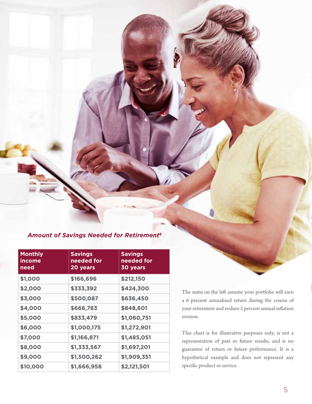#### *Amount of Savings Needed for Retirement8*

| <b>Monthly</b><br>income<br>need | <b>Savings</b><br>needed for<br>20 years | <b>Savings</b><br>needed for<br>30 years |
|----------------------------------|------------------------------------------|------------------------------------------|
| \$1,000                          | \$166,696                                | \$212,150                                |
| \$2,000                          | \$333,392                                | \$424,300                                |
| \$3,000                          | \$500,087                                | \$636,450                                |
| \$4,000                          | \$666,783                                | \$848,601                                |
| \$5,000                          | \$833,479                                | \$1,060,751                              |
| \$6,000                          | \$1,000,175                              | \$1,272,901                              |
| \$7,000                          | \$1,166,871                              | \$1,485,051                              |
| \$8,000                          | \$1,333,567                              | \$1,697,201                              |
| \$9,000                          | \$1,500,262                              | \$1,909,351                              |
| \$10,000                         | \$1,666,958                              | \$2,121,501                              |

The sums on the left assume your portfolio will earn a 6 percent annualized return during the course of your retirement and endure 2 percent annual inflation erosion.

This chart is for illustrative purposes only, is not a representation of past or future results, and is no guarantee of return or future performance. It is a hypothetical example and does not represent any specific product or service.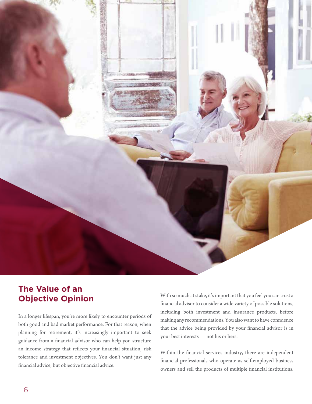

## **The Value of an Objective Opinion**

In a longer lifespan, you're more likely to encounter periods of both good and bad market performance. For that reason, when planning for retirement, it's increasingly important to seek guidance from a financial advisor who can help you structure an income strategy that reflects your financial situation, risk tolerance and investment objectives. You don't want just any financial advice, but objective financial advice.

With so much at stake, it's important that you feel you can trust a financial advisor to consider a wide variety of possible solutions, including both investment and insurance products, before making any recommendations. You also want to have confidence that the advice being provided by your financial advisor is in your best interests — not his or hers.

Within the financial services industry, there are independent financial professionals who operate as self-employed business owners and sell the products of multiple financial institutions.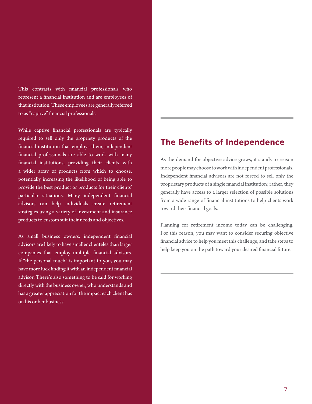This contrasts with financial professionals who represent a financial institution and are employees of that institution. These employees are generally referred to as "captive" financial professionals.

While captive financial professionals are typically required to sell only the propriety products of the financial institution that employs them, independent financial professionals are able to work with many financial institutions, providing their clients with a wider array of products from which to choose, potentially increasing the likelihood of being able to provide the best product or products for their clients' particular situations. Many independent financial advisors can help individuals create retirement strategies using a variety of investment and insurance products to custom suit their needs and objectives.

As small business owners, independent financial advisors are likely to have smaller clienteles than larger companies that employ multiple financial advisors. If "the personal touch" is important to you, you may have more luck finding it with an independent financial advisor. There's also something to be said for working directly with the business owner, who understands and has a greater appreciation for the impact each client has on his or her business.

#### **The Benefits of Independence**

As the demand for objective advice grows, it stands to reason more people may choose to work with independent professionals. Independent financial advisors are not forced to sell only the proprietary products of a single financial institution; rather, they generally have access to a larger selection of possible solutions from a wide range of financial institutions to help clients work toward their financial goals.

Planning for retirement income today can be challenging. For this reason, you may want to consider securing objective financial advice to help you meet this challenge, and take steps to help keep you on the path toward your desired financial future.